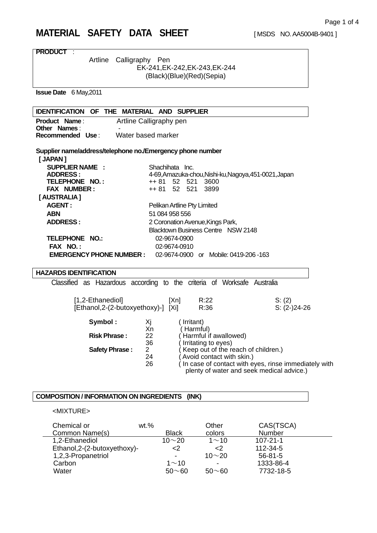# **MATERIAL SAFETY DATA SHEET** [MSDS NO. AA5004B-9401 ]

| Artline<br>Calligraphy Pen<br>EK-241, EK-242, EK-243, EK-244<br>(Black)(Blue)(Red)(Sepia)<br><b>Issue Date</b> 6 May, 2011<br><b>IDENTIFICATION OF THE MATERIAL AND SUPPLIER</b><br>Product Name:<br>Artline Calligraphy pen<br><b>Other Names:</b><br>Recommended Use:<br>Water based marker<br>Supplier name/address/telephone no./Emergency phone number<br>[ JAPAN ]<br><b>SUPPLIER NAME:</b><br>Shachihata Inc.<br>4-69, Amazuka-chou, Nishi-ku, Nagoya, 451-0021, Japan<br><b>ADDRESS:</b><br>TELEPHONE NO.:<br>3600<br>++ 81<br>52 521<br>FAX NUMBER:<br>++ 81 52 521<br>3899<br>[AUSTRALIA]<br><b>AGENT:</b><br>Pelikan Artline Pty Limited<br><b>ABN</b><br>51 084 958 556<br>2 Coronation Avenue, Kings Park,<br><b>ADDRESS:</b><br><b>Blacktown Business Centre NSW 2148</b><br><b>TELEPHONE NO.:</b><br>02-9674-0900<br>FAX NO.:<br>02-9674-0910<br><b>EMERGENCY PHONE NUMBER :</b><br>02-9674-0900 or Mobile: 0419-206-163<br><b>HAZARDS IDENTIFICATION</b><br>Classified as Hazardous according to the criteria of Worksafe Australia<br>R:22<br>[1,2-Ethanediol]<br>S: (2)<br>[Xn]<br>[Ethanol, 2-(2-butoxyethoxy)-] [Xi]<br>R:36<br>$S: (2-)24-26$<br>Symbol:<br>(Irritant)<br>Χj<br>Xn<br>(Harmful)<br><b>Risk Phrase:</b><br>Harmful if awallowed)<br>22<br>36<br>Irritating to eyes)<br>$\overline{2}$<br>Keep out of the reach of children.)<br><b>Safety Phrase:</b><br>24<br>Avoid contact with skin.)<br>In case of contact with eyes, rinse immediately with<br>26<br>plenty of water and seek medical advice.)<br>COMPOSITION / INFORMATION ON INGREDIENTS (INK) | <b>PRODUCT:</b> |  |
|-------------------------------------------------------------------------------------------------------------------------------------------------------------------------------------------------------------------------------------------------------------------------------------------------------------------------------------------------------------------------------------------------------------------------------------------------------------------------------------------------------------------------------------------------------------------------------------------------------------------------------------------------------------------------------------------------------------------------------------------------------------------------------------------------------------------------------------------------------------------------------------------------------------------------------------------------------------------------------------------------------------------------------------------------------------------------------------------------------------------------------------------------------------------------------------------------------------------------------------------------------------------------------------------------------------------------------------------------------------------------------------------------------------------------------------------------------------------------------------------------------------------------------------------------------------------------------------------|-----------------|--|
|                                                                                                                                                                                                                                                                                                                                                                                                                                                                                                                                                                                                                                                                                                                                                                                                                                                                                                                                                                                                                                                                                                                                                                                                                                                                                                                                                                                                                                                                                                                                                                                           |                 |  |
|                                                                                                                                                                                                                                                                                                                                                                                                                                                                                                                                                                                                                                                                                                                                                                                                                                                                                                                                                                                                                                                                                                                                                                                                                                                                                                                                                                                                                                                                                                                                                                                           |                 |  |
|                                                                                                                                                                                                                                                                                                                                                                                                                                                                                                                                                                                                                                                                                                                                                                                                                                                                                                                                                                                                                                                                                                                                                                                                                                                                                                                                                                                                                                                                                                                                                                                           |                 |  |
|                                                                                                                                                                                                                                                                                                                                                                                                                                                                                                                                                                                                                                                                                                                                                                                                                                                                                                                                                                                                                                                                                                                                                                                                                                                                                                                                                                                                                                                                                                                                                                                           |                 |  |
|                                                                                                                                                                                                                                                                                                                                                                                                                                                                                                                                                                                                                                                                                                                                                                                                                                                                                                                                                                                                                                                                                                                                                                                                                                                                                                                                                                                                                                                                                                                                                                                           |                 |  |
|                                                                                                                                                                                                                                                                                                                                                                                                                                                                                                                                                                                                                                                                                                                                                                                                                                                                                                                                                                                                                                                                                                                                                                                                                                                                                                                                                                                                                                                                                                                                                                                           |                 |  |
|                                                                                                                                                                                                                                                                                                                                                                                                                                                                                                                                                                                                                                                                                                                                                                                                                                                                                                                                                                                                                                                                                                                                                                                                                                                                                                                                                                                                                                                                                                                                                                                           |                 |  |
|                                                                                                                                                                                                                                                                                                                                                                                                                                                                                                                                                                                                                                                                                                                                                                                                                                                                                                                                                                                                                                                                                                                                                                                                                                                                                                                                                                                                                                                                                                                                                                                           |                 |  |
|                                                                                                                                                                                                                                                                                                                                                                                                                                                                                                                                                                                                                                                                                                                                                                                                                                                                                                                                                                                                                                                                                                                                                                                                                                                                                                                                                                                                                                                                                                                                                                                           |                 |  |
|                                                                                                                                                                                                                                                                                                                                                                                                                                                                                                                                                                                                                                                                                                                                                                                                                                                                                                                                                                                                                                                                                                                                                                                                                                                                                                                                                                                                                                                                                                                                                                                           |                 |  |
|                                                                                                                                                                                                                                                                                                                                                                                                                                                                                                                                                                                                                                                                                                                                                                                                                                                                                                                                                                                                                                                                                                                                                                                                                                                                                                                                                                                                                                                                                                                                                                                           |                 |  |
|                                                                                                                                                                                                                                                                                                                                                                                                                                                                                                                                                                                                                                                                                                                                                                                                                                                                                                                                                                                                                                                                                                                                                                                                                                                                                                                                                                                                                                                                                                                                                                                           |                 |  |
|                                                                                                                                                                                                                                                                                                                                                                                                                                                                                                                                                                                                                                                                                                                                                                                                                                                                                                                                                                                                                                                                                                                                                                                                                                                                                                                                                                                                                                                                                                                                                                                           |                 |  |
|                                                                                                                                                                                                                                                                                                                                                                                                                                                                                                                                                                                                                                                                                                                                                                                                                                                                                                                                                                                                                                                                                                                                                                                                                                                                                                                                                                                                                                                                                                                                                                                           |                 |  |
|                                                                                                                                                                                                                                                                                                                                                                                                                                                                                                                                                                                                                                                                                                                                                                                                                                                                                                                                                                                                                                                                                                                                                                                                                                                                                                                                                                                                                                                                                                                                                                                           |                 |  |
|                                                                                                                                                                                                                                                                                                                                                                                                                                                                                                                                                                                                                                                                                                                                                                                                                                                                                                                                                                                                                                                                                                                                                                                                                                                                                                                                                                                                                                                                                                                                                                                           |                 |  |
|                                                                                                                                                                                                                                                                                                                                                                                                                                                                                                                                                                                                                                                                                                                                                                                                                                                                                                                                                                                                                                                                                                                                                                                                                                                                                                                                                                                                                                                                                                                                                                                           |                 |  |
|                                                                                                                                                                                                                                                                                                                                                                                                                                                                                                                                                                                                                                                                                                                                                                                                                                                                                                                                                                                                                                                                                                                                                                                                                                                                                                                                                                                                                                                                                                                                                                                           |                 |  |
|                                                                                                                                                                                                                                                                                                                                                                                                                                                                                                                                                                                                                                                                                                                                                                                                                                                                                                                                                                                                                                                                                                                                                                                                                                                                                                                                                                                                                                                                                                                                                                                           |                 |  |
|                                                                                                                                                                                                                                                                                                                                                                                                                                                                                                                                                                                                                                                                                                                                                                                                                                                                                                                                                                                                                                                                                                                                                                                                                                                                                                                                                                                                                                                                                                                                                                                           |                 |  |
|                                                                                                                                                                                                                                                                                                                                                                                                                                                                                                                                                                                                                                                                                                                                                                                                                                                                                                                                                                                                                                                                                                                                                                                                                                                                                                                                                                                                                                                                                                                                                                                           |                 |  |
|                                                                                                                                                                                                                                                                                                                                                                                                                                                                                                                                                                                                                                                                                                                                                                                                                                                                                                                                                                                                                                                                                                                                                                                                                                                                                                                                                                                                                                                                                                                                                                                           |                 |  |
|                                                                                                                                                                                                                                                                                                                                                                                                                                                                                                                                                                                                                                                                                                                                                                                                                                                                                                                                                                                                                                                                                                                                                                                                                                                                                                                                                                                                                                                                                                                                                                                           |                 |  |
|                                                                                                                                                                                                                                                                                                                                                                                                                                                                                                                                                                                                                                                                                                                                                                                                                                                                                                                                                                                                                                                                                                                                                                                                                                                                                                                                                                                                                                                                                                                                                                                           |                 |  |
|                                                                                                                                                                                                                                                                                                                                                                                                                                                                                                                                                                                                                                                                                                                                                                                                                                                                                                                                                                                                                                                                                                                                                                                                                                                                                                                                                                                                                                                                                                                                                                                           |                 |  |
|                                                                                                                                                                                                                                                                                                                                                                                                                                                                                                                                                                                                                                                                                                                                                                                                                                                                                                                                                                                                                                                                                                                                                                                                                                                                                                                                                                                                                                                                                                                                                                                           |                 |  |
|                                                                                                                                                                                                                                                                                                                                                                                                                                                                                                                                                                                                                                                                                                                                                                                                                                                                                                                                                                                                                                                                                                                                                                                                                                                                                                                                                                                                                                                                                                                                                                                           |                 |  |
|                                                                                                                                                                                                                                                                                                                                                                                                                                                                                                                                                                                                                                                                                                                                                                                                                                                                                                                                                                                                                                                                                                                                                                                                                                                                                                                                                                                                                                                                                                                                                                                           |                 |  |
|                                                                                                                                                                                                                                                                                                                                                                                                                                                                                                                                                                                                                                                                                                                                                                                                                                                                                                                                                                                                                                                                                                                                                                                                                                                                                                                                                                                                                                                                                                                                                                                           |                 |  |
|                                                                                                                                                                                                                                                                                                                                                                                                                                                                                                                                                                                                                                                                                                                                                                                                                                                                                                                                                                                                                                                                                                                                                                                                                                                                                                                                                                                                                                                                                                                                                                                           |                 |  |
|                                                                                                                                                                                                                                                                                                                                                                                                                                                                                                                                                                                                                                                                                                                                                                                                                                                                                                                                                                                                                                                                                                                                                                                                                                                                                                                                                                                                                                                                                                                                                                                           |                 |  |
|                                                                                                                                                                                                                                                                                                                                                                                                                                                                                                                                                                                                                                                                                                                                                                                                                                                                                                                                                                                                                                                                                                                                                                                                                                                                                                                                                                                                                                                                                                                                                                                           |                 |  |
|                                                                                                                                                                                                                                                                                                                                                                                                                                                                                                                                                                                                                                                                                                                                                                                                                                                                                                                                                                                                                                                                                                                                                                                                                                                                                                                                                                                                                                                                                                                                                                                           |                 |  |
|                                                                                                                                                                                                                                                                                                                                                                                                                                                                                                                                                                                                                                                                                                                                                                                                                                                                                                                                                                                                                                                                                                                                                                                                                                                                                                                                                                                                                                                                                                                                                                                           |                 |  |
|                                                                                                                                                                                                                                                                                                                                                                                                                                                                                                                                                                                                                                                                                                                                                                                                                                                                                                                                                                                                                                                                                                                                                                                                                                                                                                                                                                                                                                                                                                                                                                                           |                 |  |
|                                                                                                                                                                                                                                                                                                                                                                                                                                                                                                                                                                                                                                                                                                                                                                                                                                                                                                                                                                                                                                                                                                                                                                                                                                                                                                                                                                                                                                                                                                                                                                                           |                 |  |
|                                                                                                                                                                                                                                                                                                                                                                                                                                                                                                                                                                                                                                                                                                                                                                                                                                                                                                                                                                                                                                                                                                                                                                                                                                                                                                                                                                                                                                                                                                                                                                                           |                 |  |
|                                                                                                                                                                                                                                                                                                                                                                                                                                                                                                                                                                                                                                                                                                                                                                                                                                                                                                                                                                                                                                                                                                                                                                                                                                                                                                                                                                                                                                                                                                                                                                                           |                 |  |
|                                                                                                                                                                                                                                                                                                                                                                                                                                                                                                                                                                                                                                                                                                                                                                                                                                                                                                                                                                                                                                                                                                                                                                                                                                                                                                                                                                                                                                                                                                                                                                                           |                 |  |
|                                                                                                                                                                                                                                                                                                                                                                                                                                                                                                                                                                                                                                                                                                                                                                                                                                                                                                                                                                                                                                                                                                                                                                                                                                                                                                                                                                                                                                                                                                                                                                                           |                 |  |

# <MIXTURE>

| Chemical or                  | $wt.$ %      | Other        | CAS(TSCA)      |  |
|------------------------------|--------------|--------------|----------------|--|
| Common Name(s)               | <b>Black</b> | colors       | Number         |  |
| 1,2-Ethanediol               | $10 - 20$    | $1 \sim 10$  | $107 - 21 - 1$ |  |
| Ethanol, 2-(2-butoxyethoxy)- | $<$ 2        | <2           | $112 - 34 - 5$ |  |
| 1,2,3-Propanetriol           |              | $10 \sim 20$ | $56 - 81 - 5$  |  |
| Carbon                       | $1 \sim 10$  | $\,$         | 1333-86-4      |  |
| Water                        | $50 - 60$    | $50\sim 60$  | 7732-18-5      |  |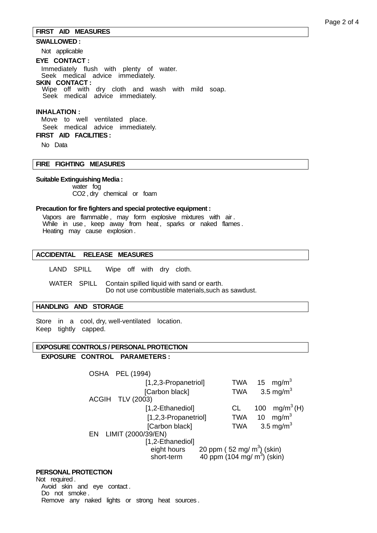## **FIRST AID MEASURES**

## **SWALLOWED :**

Not applicable

#### **EYE CONTACT :**

 Immediately flush with plenty of water. Seek medical advice immediately. **SKIN CONTACT :**  Wipe off with dry cloth and wash with mild soap. Seek medical advice immediately.

#### **INHALATION :**

 Move to well ventilated place. Seek medical advice immediately. **FIRST AID FACILITIES :** 

No Data

## **FIRE FIGHTING MEASURES**

## **Suitable Extinguishing Media :**

 water fog CO2 , dry chemical or foam

#### **Precaution for fire fighters and special protective equipment :**

Vapors are flammable , may form explosive mixtures with air . While in use, keep away from heat, sparks or naked flames. Heating may cause explosion .

## **ACCIDENTAL RELEASE MEASURES**

LAND SPILL Wipe off with dry cloth.

 WATER SPILL Contain spilled liquid with sand or earth. Do not use combustible materials,such as sawdust.

#### **HANDLING AND STORAGE**

Store in a cool, dry, well-ventilated location. Keep tightly capped.

## **EXPOSURE CONTROLS / PERSONAL PROTECTION**

## **EXPOSURE CONTROL PARAMETERS :**

|    | <b>OSHA PEL (1994)</b> |            |                                                                                  |
|----|------------------------|------------|----------------------------------------------------------------------------------|
|    | [1,2,3-Propanetriol]   |            | TWA 15 mg/m <sup>3</sup>                                                         |
|    | [Carbon black]         | <b>TWA</b> | 3.5 mg/m <sup>3</sup>                                                            |
|    | ACGIH TLV (2003)       |            |                                                                                  |
|    | [1,2-Ethanediol]       | CL.        | mg/m <sup>3</sup> (H)<br>100                                                     |
|    | [1,2,3-Propanetriol]   | <b>TWA</b> | 10 $mg/m3$                                                                       |
|    | [Carbon black]         | <b>TWA</b> | 3.5 mg/m <sup>3</sup>                                                            |
| EN | LIMIT (2000/39/EN)     |            |                                                                                  |
|    | [1,2-Ethanediol]       |            |                                                                                  |
|    | eight hours            |            | 20 ppm ( $52 \text{ mg/m}^3$ ) (skin)<br>40 ppm (104 mg/ m <sup>3</sup> ) (skin) |
|    | short-term             |            |                                                                                  |

## **PERSONAL PROTECTION**

Not required . Avoid skin and eye contact . Do not smoke . Remove any naked lights or strong heat sources .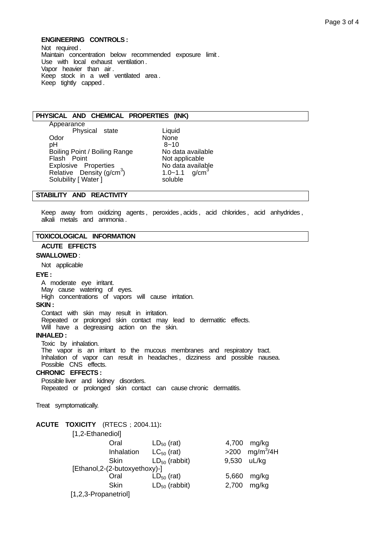## **ENGINEERING CONTROLS :**

Not required. Maintain concentration below recommended exposure limit . Use with local exhaust ventilation . Vapor heavier than air . Keep stock in a well ventilated area . Keep tightly capped .

#### **PHYSICAL AND CHEMICAL PROPERTIES (INK)**

 Appearance Physical state **Liquid**<br>None Odor Mone<br>
DH 8~10 pH 8~10 Boiling Point / Boiling Range No data available<br>
Flash Point Mot applicable Explosive Properties No data available Relative Density  $(g/cm<sup>3</sup>)$ Solubility [ Water ]

Not applicable  $1.0 - 1.1$  g/cm<sup>3</sup><br>soluble

## **STABILITY AND REACTIVITY**

Keep away from oxidizing agents, peroxides, acids, acid chlorides, acid anhydrides, alkali metals and ammonia .

#### **TOXICOLOGICAL INFORMATION**

# **ACUTE EFFECTS**

#### **SWALLOWED** :

Not applicable

#### **EYE :**

 A moderate eye irritant. May cause watering of eyes. High concentrations of vapors will cause irritation.

# **SKIN :**

 Contact with skin may result in irritation. Repeated or prolonged skin contact may lead to dermatitic effects. Will have a degreasing action on the skin.

#### **INHALED :**

 Toxic by inhalation. The vapor is an irritant to the mucous membranes and respiratory tract. Inhalation of vapor can result in headaches , dizziness and possible nausea. Possible CNS effects.

## **CHRONIC EFFECTS :**

 Possible liver and kidney disorders. Repeated or prolonged skin contact can cause chronic dermatitis.

Treat symptomatically.

## **ACUTE TOXICITY** (RTECS;2004.11)**:**

| [1,2-Ethanediol]     |                               |                    |        |             |
|----------------------|-------------------------------|--------------------|--------|-------------|
|                      | Oral                          | $LD_{50}$ (rat)    | 4,700  | mg/kg       |
|                      | Inhalation                    | $LC_{50}$ (rat)    | $>200$ | $mg/m^3/4H$ |
|                      | <b>Skin</b>                   | $LD_{50}$ (rabbit) | 9,530  | uL/kg       |
|                      | [Ethanol,2-(2-butoxyethoxy)-] |                    |        |             |
|                      | Oral                          | $LD_{50}$ (rat)    | 5,660  | mg/kg       |
|                      | <b>Skin</b>                   | $LD_{50}$ (rabbit) | 2,700  | mg/kg       |
| [1,2,3-Propanetriol] |                               |                    |        |             |